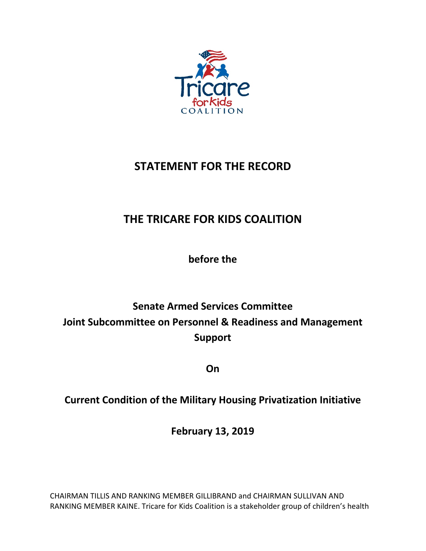

## **STATEMENT FOR THE RECORD**

# **THE TRICARE FOR KIDS COALITION**

**before the**

# **Senate Armed Services Committee Joint Subcommittee on Personnel & Readiness and Management Support**

**On**

### **Current Condition of the Military Housing Privatization Initiative**

**February 13, 2019**

CHAIRMAN TILLIS AND RANKING MEMBER GILLIBRAND and CHAIRMAN SULLIVAN AND RANKING MEMBER KAINE. Tricare for Kids Coalition is a stakeholder group of children's health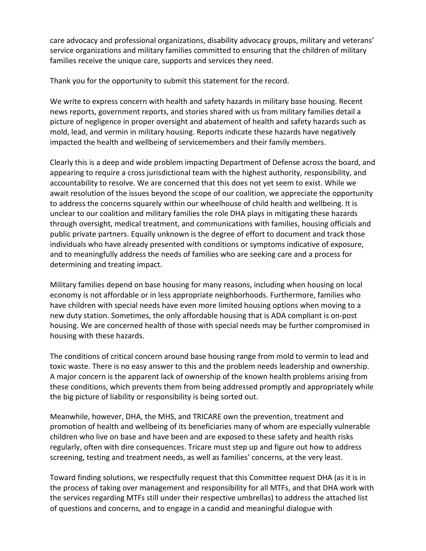care advocacy and professional organizations, disability advocacy groups, military and veterans' service organizations and military families committed to ensuring that the children of military families receive the unique care, supports and services they need.

Thank you for the opportunity to submit this statement for the record.

We write to express concern with health and safety hazards in military base housing. Recent news reports, government reports, and stories shared with us from military families detail a picture of negligence in proper oversight and abatement of health and safety hazards such as mold, lead, and vermin in military housing. Reports indicate these hazards have negatively impacted the health and wellbeing of servicemembers and their family members.

Clearly this is a deep and wide problem impacting Department of Defense across the board, and appearing to require a cross jurisdictional team with the highest authority, responsibility, and accountability to resolve. We are concerned that this does not yet seem to exist. While we await resolution of the issues beyond the scope of our coalition, we appreciate the opportunity to address the concerns squarely within our wheelhouse of child health and wellbeing. It is unclear to our coalition and military families the role DHA plays in mitigating these hazards through oversight, medical treatment, and communications with families, housing officials and public private partners. Equally unknown is the degree of effort to document and track those individuals who have already presented with conditions or symptoms indicative of exposure, and to meaningfully address the needs of families who are seeking care and a process for determining and treating impact.

Military families depend on base housing for many reasons, including when housing on local economy is not affordable or in less appropriate neighborhoods. Furthermore, families who have children with special needs have even more limited housing options when moving to a new duty station. Sometimes, the only affordable housing that is ADA compliant is on-post housing. We are concerned health of those with special needs may be further compromised in housing with these hazards.

The conditions of critical concern around base housing range from mold to vermin to lead and toxic waste. There is no easy answer to this and the problem needs leadership and ownership. A major concern is the apparent lack of ownership of the known health problems arising from these conditions, which prevents them from being addressed promptly and appropriately while the big picture of liability or responsibility is being sorted out.

Meanwhile, however, DHA, the MHS, and TRICARE own the prevention, treatment and promotion of health and wellbeing of its beneficiaries many of whom are especially vulnerable children who live on base and have been and are exposed to these safety and health risks regularly, often with dire consequences. Tricare must step up and figure out how to address screening, testing and treatment needs, as well as families' concerns, at the very least.

Toward finding solutions, we respectfully request that this Committee request DHA (as it is in the process of taking over management and responsibility for all MTFs, and that DHA work with the services regarding MTFs still under their respective umbrellas) to address the attached list of questions and concerns, and to engage in a candid and meaningful dialogue with